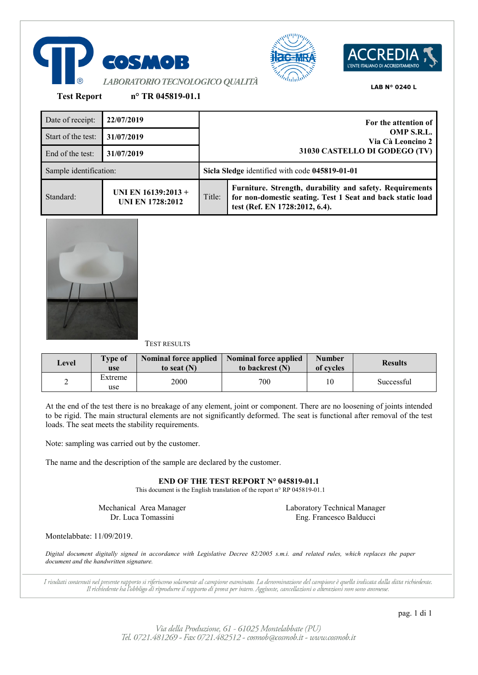





**Test Report n° TR 045819-01.1**

| Date of receipt:       | 22/07/2019                                     |        | For the attention of                                                                                                                                     |
|------------------------|------------------------------------------------|--------|----------------------------------------------------------------------------------------------------------------------------------------------------------|
| Start of the test:     | 31/07/2019                                     |        | OMP S.R.L.<br>Via Cà Leoncino 2                                                                                                                          |
| End of the test:       | 31/07/2019                                     |        | 31030 CASTELLO DI GODEGO (TV)                                                                                                                            |
| Sample identification: |                                                |        | Sicla Sledge identified with code 045819-01-01                                                                                                           |
| Standard:              | UNI EN 16139:2013 +<br><b>UNI EN 1728:2012</b> | Title: | Furniture. Strength, durability and safety. Requirements<br>for non-domestic seating. Test 1 Seat and back static load<br>test (Ref. EN 1728:2012, 6.4). |



# TEST RESULTS

| Level | <b>Type of</b><br>use | <b>Nominal force applied</b><br>to seat $(N)$ | Nominal force applied<br>to backrest (N) | <b>Number</b><br>of cycles | <b>Results</b> |
|-------|-----------------------|-----------------------------------------------|------------------------------------------|----------------------------|----------------|
|       | Extreme<br>use        | 2000                                          | 700                                      | 10                         | Successful     |

At the end of the test there is no breakage of any element, joint or component. There are no loosening of joints intended to be rigid. The main structural elements are not significantly deformed. The seat is functional after removal of the test loads. The seat meets the stability requirements.

Note: sampling was carried out by the customer.

The name and the description of the sample are declared by the customer.

**END OF THE TEST REPORT N° 045819-01.1**

This document is the English translation of the report n° RP 045819-01.1

Mechanical Area Manager Dr. Luca Tomassini

Laboratory Technical Manager Eng. Francesco Balducci

Montelabbate: 11/09/2019.

*Digital document digitally signed in accordance with Legislative Decree 82/2005 s.m.i. and related rules, which replaces the paper document and the handwritten signature.*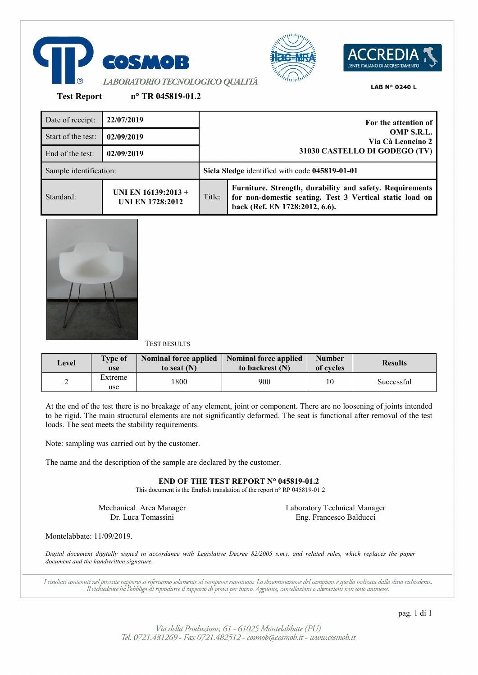





**Test Report n° TR 045819-01.2**

| Date of receipt:       | 22/07/2019                                     |        | For the attention of                                                                                                                                   |
|------------------------|------------------------------------------------|--------|--------------------------------------------------------------------------------------------------------------------------------------------------------|
| Start of the test:     | 02/09/2019                                     |        | OMP S.R.L.<br>Via Cà Leoncino 2                                                                                                                        |
| End of the test:       | 02/09/2019                                     |        | 31030 CASTELLO DI GODEGO (TV)                                                                                                                          |
| Sample identification: |                                                |        | Sicla Sledge identified with code 045819-01-01                                                                                                         |
| Standard:              | UNI EN 16139:2013 +<br><b>UNI EN 1728:2012</b> | Title: | Furniture. Strength, durability and safety. Requirements<br>for non-domestic seating. Test 3 Vertical static load on<br>back (Ref. EN 1728:2012, 6.6). |



# TEST RESULTS

| Level | <b>Type of</b><br>use | <b>Nominal force applied</b><br>to seat $(N)$ | <b>Nominal force applied</b><br>to backrest (N) | <b>Number</b><br>of cycles | <b>Results</b> |
|-------|-----------------------|-----------------------------------------------|-------------------------------------------------|----------------------------|----------------|
|       | Extreme<br>use        | 800                                           | 900                                             | 10                         | Successful     |

At the end of the test there is no breakage of any element, joint or component. There are no loosening of joints intended to be rigid. The main structural elements are not significantly deformed. The seat is functional after removal of the test loads. The seat meets the stability requirements.

Note: sampling was carried out by the customer.

The name and the description of the sample are declared by the customer.

**END OF THE TEST REPORT N° 045819-01.2**

This document is the English translation of the report n° RP 045819-01.2

Mechanical Area Manager Dr. Luca Tomassini

Laboratory Technical Manager Eng. Francesco Balducci

Montelabbate: 11/09/2019.

*Digital document digitally signed in accordance with Legislative Decree 82/2005 s.m.i. and related rules, which replaces the paper document and the handwritten signature.*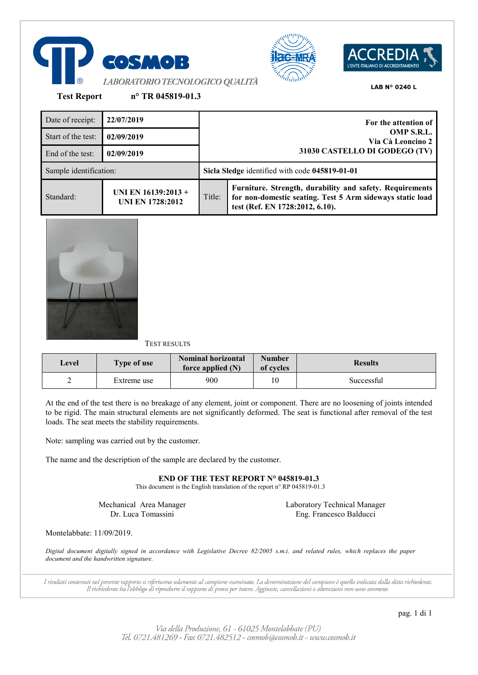





**Test Report n° TR 045819-01.3**

| Date of receipt:       | 22/07/2019                                     |        | For the attention of                                                                                                                                     |
|------------------------|------------------------------------------------|--------|----------------------------------------------------------------------------------------------------------------------------------------------------------|
| Start of the test:     | 02/09/2019                                     |        | OMP S.R.L.<br>Via Cà Leoncino 2                                                                                                                          |
| End of the test:       | 02/09/2019                                     |        | 31030 CASTELLO DI GODEGO (TV)                                                                                                                            |
| Sample identification: |                                                |        | Sicla Sledge identified with code 045819-01-01                                                                                                           |
| Standard:              | UNI EN 16139:2013 +<br><b>UNI EN 1728:2012</b> | Title: | Furniture. Strength, durability and safety. Requirements<br>for non-domestic seating. Test 5 Arm sideways static load<br>test (Ref. EN 1728:2012, 6.10). |



# TEST RESULTS

| Level | Type of use | <b>Nominal horizontal</b><br>force applied $(N)$ | <b>Number</b><br>of cycles | <b>Results</b> |
|-------|-------------|--------------------------------------------------|----------------------------|----------------|
| ∸     | Extreme use | 900                                              | 10                         | Successful     |

At the end of the test there is no breakage of any element, joint or component. There are no loosening of joints intended to be rigid. The main structural elements are not significantly deformed. The seat is functional after removal of the test loads. The seat meets the stability requirements.

Note: sampling was carried out by the customer.

The name and the description of the sample are declared by the customer.

**END OF THE TEST REPORT N° 045819-01.3**

This document is the English translation of the report n° RP 045819-01.3

Mechanical Area Manager Dr. Luca Tomassini

Laboratory Technical Manager Eng. Francesco Balducci

Montelabbate: 11/09/2019.

*Digital document digitally signed in accordance with Legislative Decree 82/2005 s.m.i. and related rules, which replaces the paper document and the handwritten signature.*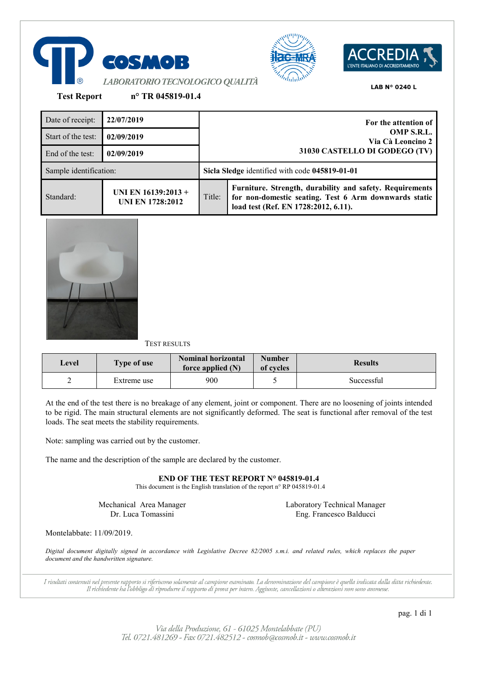





**Test Report n° TR 045819-01.4**

| Date of receipt:       | 22/07/2019                                     |                               | For the attention of                                                                                                                                      |  |
|------------------------|------------------------------------------------|-------------------------------|-----------------------------------------------------------------------------------------------------------------------------------------------------------|--|
| Start of the test:     | 02/09/2019                                     |                               | OMP S.R.L.<br>Via Cà Leoncino 2                                                                                                                           |  |
| End of the test:       | 02/09/2019                                     | 31030 CASTELLO DI GODEGO (TV) |                                                                                                                                                           |  |
| Sample identification: |                                                |                               | Sicla Sledge identified with code 045819-01-01                                                                                                            |  |
| Standard:              | UNI EN 16139:2013 +<br><b>UNI EN 1728:2012</b> | Title:                        | Furniture. Strength, durability and safety. Requirements<br>for non-domestic seating. Test 6 Arm downwards static<br>load test (Ref. EN 1728:2012, 6.11). |  |



## TEST RESULTS

| Level | <b>Type of use</b> | <b>Nominal horizontal</b><br>force applied $(N)$ | <b>Number</b><br>of cycles | <b>Results</b> |
|-------|--------------------|--------------------------------------------------|----------------------------|----------------|
|       | Extreme use        | 900                                              |                            | Successful     |

At the end of the test there is no breakage of any element, joint or component. There are no loosening of joints intended to be rigid. The main structural elements are not significantly deformed. The seat is functional after removal of the test loads. The seat meets the stability requirements.

Note: sampling was carried out by the customer.

The name and the description of the sample are declared by the customer.

**END OF THE TEST REPORT N° 045819-01.4**

This document is the English translation of the report n° RP 045819-01.4

Mechanical Area Manager Dr. Luca Tomassini

Laboratory Technical Manager Eng. Francesco Balducci

Montelabbate: 11/09/2019.

*Digital document digitally signed in accordance with Legislative Decree 82/2005 s.m.i. and related rules, which replaces the paper document and the handwritten signature.*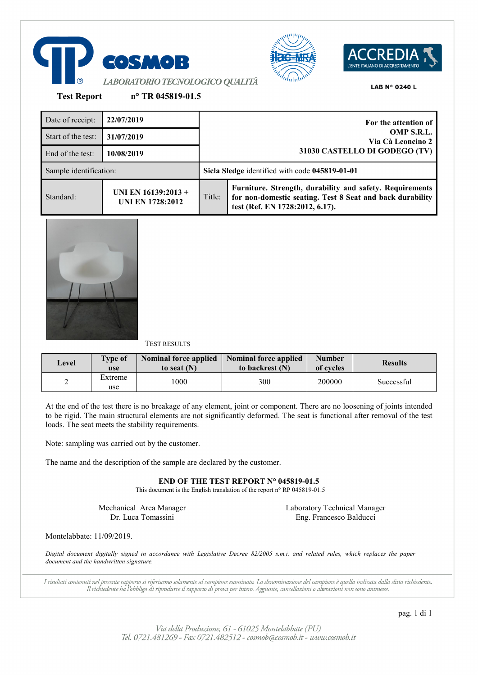





**Test Report n° TR 045819-01.5**

Date of receipt: **22/07/2019 For the attention of OMP S.R.L. Via Cà Leoncino 2 31030 CASTELLO DI GODEGO (TV)** Start of the test: **31/07/2019** End of the test: **10/08/2019** Sample identification: **Sicla Sledge** identified with code **045819-01-01** Standard: **UNI EN 16139:2013 + UNI EN 1728:2012** Title: **Furniture. Strength, durability and safety. Requirements for non-domestic seating. Test 8 Seat and back durability test (Ref. EN 1728:2012, 6.17).**



# TEST RESULTS

| Level | <b>Type of</b><br>use | <b>Nominal force applied</b><br>to seat $(N)$ | <b>Nominal force applied</b><br>to backrest (N) | <b>Number</b><br>of cycles | <b>Results</b> |
|-------|-----------------------|-----------------------------------------------|-------------------------------------------------|----------------------------|----------------|
|       | Extreme<br>use        | 1000                                          | 300                                             | 200000                     | Successful     |

At the end of the test there is no breakage of any element, joint or component. There are no loosening of joints intended to be rigid. The main structural elements are not significantly deformed. The seat is functional after removal of the test loads. The seat meets the stability requirements.

Note: sampling was carried out by the customer.

The name and the description of the sample are declared by the customer.

**END OF THE TEST REPORT N° 045819-01.5**

This document is the English translation of the report n° RP 045819-01.5

Mechanical Area Manager Dr. Luca Tomassini

Laboratory Technical Manager Eng. Francesco Balducci

Montelabbate: 11/09/2019.

*Digital document digitally signed in accordance with Legislative Decree 82/2005 s.m.i. and related rules, which replaces the paper document and the handwritten signature.*

I risultati contenuti nel presente rapporto si riferiscono solamente al campione esaminato. La denominazione del campione è quella indicata dalla ditta richiedente. Il richiedente ha l'obbligo di riprodurre il rapporto di prova per intero. Aggiunte, cancellazioni o alterazioni non sono ammesse.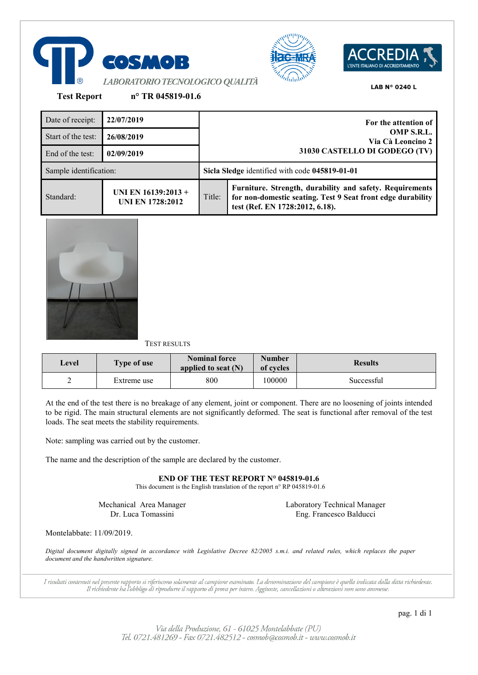





**Test Report n° TR 045819-01.6**

| Date of receipt:       | 22/07/2019                                       |        | For the attention of                                                                                                                                       |
|------------------------|--------------------------------------------------|--------|------------------------------------------------------------------------------------------------------------------------------------------------------------|
| Start of the test:     | 26/08/2019                                       |        | OMP S.R.L.<br>Via Cà Leoncino 2                                                                                                                            |
| End of the test:       | 02/09/2019                                       |        | 31030 CASTELLO DI GODEGO (TV)                                                                                                                              |
| Sample identification: |                                                  |        | Sicla Sledge identified with code 045819-01-01                                                                                                             |
| Standard:              | UNI EN $16139:2013 +$<br><b>UNI EN 1728:2012</b> | Title: | Furniture. Strength, durability and safety. Requirements<br>for non-domestic seating. Test 9 Seat front edge durability<br>test (Ref. EN 1728:2012, 6.18). |



TEST RESULTS

| Level  | <b>Type of use</b> | Nominal force<br>applied to seat $(N)$ | <b>Number</b><br>of cycles | <b>Results</b> |
|--------|--------------------|----------------------------------------|----------------------------|----------------|
| ◠<br>∼ | Extreme use        | 800                                    | 100000                     | Successful     |

At the end of the test there is no breakage of any element, joint or component. There are no loosening of joints intended to be rigid. The main structural elements are not significantly deformed. The seat is functional after removal of the test loads. The seat meets the stability requirements.

Note: sampling was carried out by the customer.

The name and the description of the sample are declared by the customer.

**END OF THE TEST REPORT N° 045819-01.6**

This document is the English translation of the report n° RP 045819-01.6

Mechanical Area Manager Dr. Luca Tomassini

Laboratory Technical Manager Eng. Francesco Balducci

Montelabbate: 11/09/2019.

*Digital document digitally signed in accordance with Legislative Decree 82/2005 s.m.i. and related rules, which replaces the paper document and the handwritten signature.*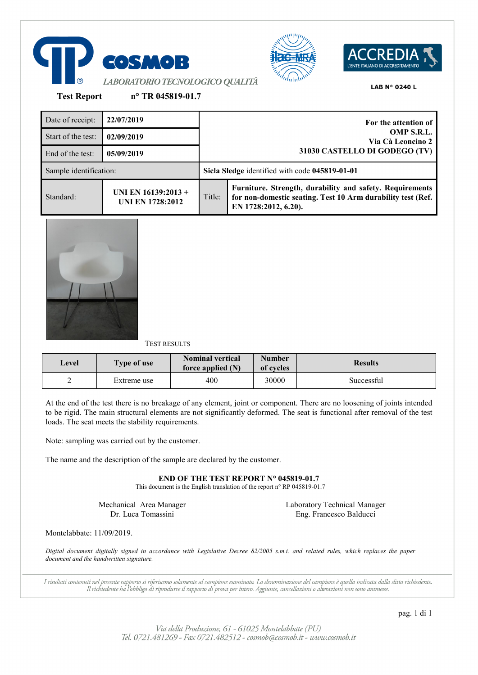





**Test Report n° TR 045819-01.7**

| Date of receipt:       | 22/07/2019                                     | For the attention of<br>OMP S.R.L.<br>Via Cà Leoncino 2<br>31030 CASTELLO DI GODEGO (TV) |                                                                                                                                                 |
|------------------------|------------------------------------------------|------------------------------------------------------------------------------------------|-------------------------------------------------------------------------------------------------------------------------------------------------|
| Start of the test:     | 02/09/2019                                     |                                                                                          |                                                                                                                                                 |
| End of the test:       | 05/09/2019                                     |                                                                                          |                                                                                                                                                 |
| Sample identification: |                                                |                                                                                          | Sicla Sledge identified with code 045819-01-01                                                                                                  |
| Standard:              | UNI EN 16139:2013 +<br><b>UNI EN 1728:2012</b> | Title:                                                                                   | Furniture. Strength, durability and safety. Requirements<br>for non-domestic seating. Test 10 Arm durability test (Ref.<br>EN 1728:2012, 6.20). |



## TEST RESULTS

| Level | <b>Type of use</b> | <b>Nominal vertical</b><br>force applied $(N)$ | Number<br>of cycles | <b>Results</b> |  |
|-------|--------------------|------------------------------------------------|---------------------|----------------|--|
| ∼     | Extreme use        | 400                                            | 30000               | Successful     |  |

At the end of the test there is no breakage of any element, joint or component. There are no loosening of joints intended to be rigid. The main structural elements are not significantly deformed. The seat is functional after removal of the test loads. The seat meets the stability requirements.

Note: sampling was carried out by the customer.

The name and the description of the sample are declared by the customer.

**END OF THE TEST REPORT N° 045819-01.7**

This document is the English translation of the report n° RP 045819-01.7

Mechanical Area Manager Dr. Luca Tomassini

Laboratory Technical Manager Eng. Francesco Balducci

Montelabbate: 11/09/2019.

*Digital document digitally signed in accordance with Legislative Decree 82/2005 s.m.i. and related rules, which replaces the paper document and the handwritten signature.*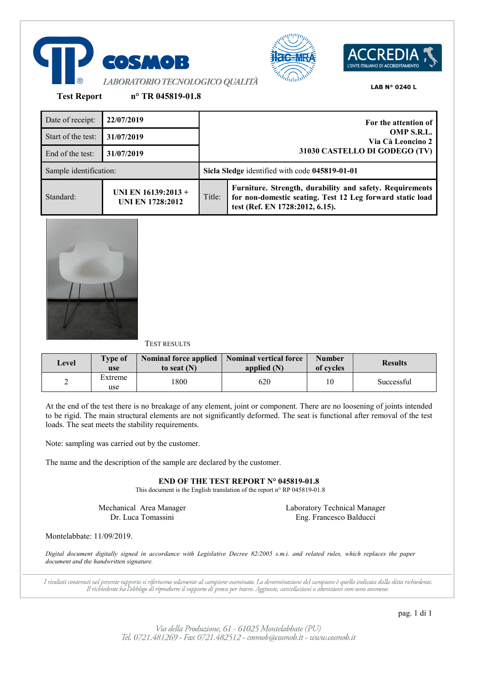





**Test Report n° TR 045819-01.8**

| Date of receipt:       | 22/07/2019                                     | For the attention of                                             |                                                                                                                                                          |  |
|------------------------|------------------------------------------------|------------------------------------------------------------------|----------------------------------------------------------------------------------------------------------------------------------------------------------|--|
| Start of the test:     | 31/07/2019                                     | OMP S.R.L.<br>Via Cà Leoncino 2<br>31030 CASTELLO DI GODEGO (TV) |                                                                                                                                                          |  |
| End of the test:       | 31/07/2019                                     |                                                                  |                                                                                                                                                          |  |
| Sample identification: |                                                |                                                                  | Sicla Sledge identified with code 045819-01-01                                                                                                           |  |
| Standard:              | UNI EN 16139:2013 +<br><b>UNI EN 1728:2012</b> | Title:                                                           | Furniture. Strength, durability and safety. Requirements<br>for non-domestic seating. Test 12 Leg forward static load<br>test (Ref. EN 1728:2012, 6.15). |  |



# TEST RESULTS

| Level | <b>Type of</b><br>use | <b>Nominal force applied</b><br>to seat $(N)$ | Nominal vertical force<br>applied $(N)$ | <b>Number</b><br>of cycles | <b>Results</b> |
|-------|-----------------------|-----------------------------------------------|-----------------------------------------|----------------------------|----------------|
| ∠     | Extreme<br>use        | 800                                           | 620                                     | 10                         | Successful     |

At the end of the test there is no breakage of any element, joint or component. There are no loosening of joints intended to be rigid. The main structural elements are not significantly deformed. The seat is functional after removal of the test loads. The seat meets the stability requirements.

Note: sampling was carried out by the customer.

The name and the description of the sample are declared by the customer.

**END OF THE TEST REPORT N° 045819-01.8**

This document is the English translation of the report n° RP 045819-01.8

Mechanical Area Manager Dr. Luca Tomassini

Laboratory Technical Manager Eng. Francesco Balducci

Montelabbate: 11/09/2019.

*Digital document digitally signed in accordance with Legislative Decree 82/2005 s.m.i. and related rules, which replaces the paper document and the handwritten signature.*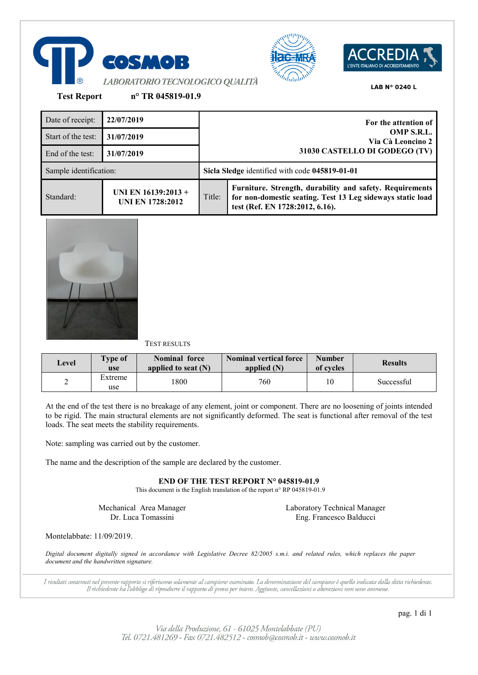





**Test Report n° TR 045819-01.9**

Date of receipt: **22/07/2019 For the attention of OMP S.R.L. Via Cà Leoncino 2 31030 CASTELLO DI GODEGO (TV)** Start of the test: **31/07/2019** End of the test: **31/07/2019** Sample identification: **Sicla Sledge** identified with code **045819-01-01** Standard: **UNI EN 16139:2013 + UNI EN 1728:2012** Title: **Furniture. Strength, durability and safety. Requirements for non-domestic seating. Test 13 Leg sideways static load test (Ref. EN 1728:2012, 6.16).**



# TEST RESULTS

| Level | <b>Type of</b><br>use | <b>Nominal force</b><br>applied to seat $(N)$ | Nominal vertical force<br>applied $(N)$ | <b>Number</b><br>of cycles | <b>Results</b> |
|-------|-----------------------|-----------------------------------------------|-----------------------------------------|----------------------------|----------------|
| ∠     | Extreme<br>use        | 1800                                          | 760                                     | 10                         | Successful     |

At the end of the test there is no breakage of any element, joint or component. There are no loosening of joints intended to be rigid. The main structural elements are not significantly deformed. The seat is functional after removal of the test loads. The seat meets the stability requirements.

Note: sampling was carried out by the customer.

The name and the description of the sample are declared by the customer.

**END OF THE TEST REPORT N° 045819-01.9**

This document is the English translation of the report n° RP 045819-01.9

Mechanical Area Manager Dr. Luca Tomassini

Laboratory Technical Manager Eng. Francesco Balducci

Montelabbate: 11/09/2019.

*Digital document digitally signed in accordance with Legislative Decree 82/2005 s.m.i. and related rules, which replaces the paper document and the handwritten signature.*

I risultati contenuti nel presente rapporto si riferiscono solamente al campione esaminato. La denominazione del campione è quella indicata dalla ditta richiedente. Il richiedente ha l'obbligo di riprodurre il rapporto di prova per intero. Aggiunte, cancellazioni o alterazioni non sono ammesse.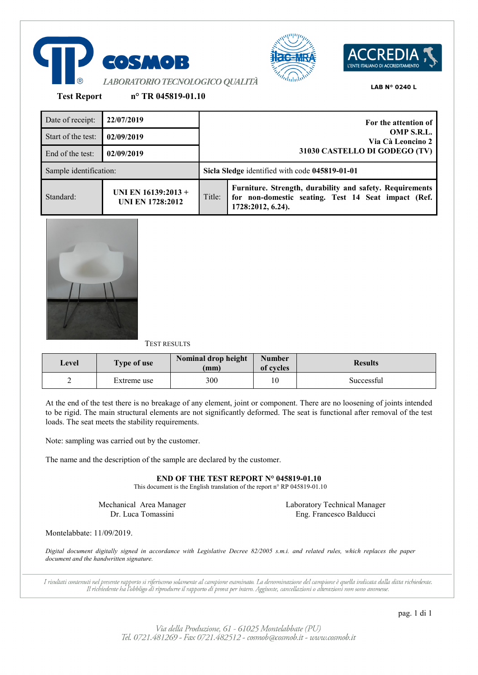





**Test Report n° TR 045819-01.10**

| Date of receipt:       | 22/07/2019                                     | For the attention of<br>OMP S.R.L.<br>Via Cà Leoncino 2 |                                                                                                                                      |  |
|------------------------|------------------------------------------------|---------------------------------------------------------|--------------------------------------------------------------------------------------------------------------------------------------|--|
| Start of the test:     | 02/09/2019                                     |                                                         |                                                                                                                                      |  |
| End of the test:       | 02/09/2019                                     | 31030 CASTELLO DI GODEGO (TV)                           |                                                                                                                                      |  |
| Sample identification: |                                                | Sicla Sledge identified with code 045819-01-01          |                                                                                                                                      |  |
| Standard:              | UNI EN 16139:2013 +<br><b>UNI EN 1728:2012</b> | Title:                                                  | Furniture. Strength, durability and safety. Requirements<br>for non-domestic seating. Test 14 Seat impact (Ref.<br>1728:2012, 6.24). |  |



TEST RESULTS

| Level | <b>Type of use</b> | Nominal drop height<br>(mm) | <b>Number</b><br>of cycles | <b>Results</b> |
|-------|--------------------|-----------------------------|----------------------------|----------------|
| -     | Extreme use        | 300                         | 10                         | Successful     |

At the end of the test there is no breakage of any element, joint or component. There are no loosening of joints intended to be rigid. The main structural elements are not significantly deformed. The seat is functional after removal of the test loads. The seat meets the stability requirements.

Note: sampling was carried out by the customer.

The name and the description of the sample are declared by the customer.

**END OF THE TEST REPORT N° 045819-01.10**

This document is the English translation of the report n° RP 045819-01.10

Mechanical Area Manager Dr. Luca Tomassini

Laboratory Technical Manager Eng. Francesco Balducci

Montelabbate: 11/09/2019.

*Digital document digitally signed in accordance with Legislative Decree 82/2005 s.m.i. and related rules, which replaces the paper document and the handwritten signature.*